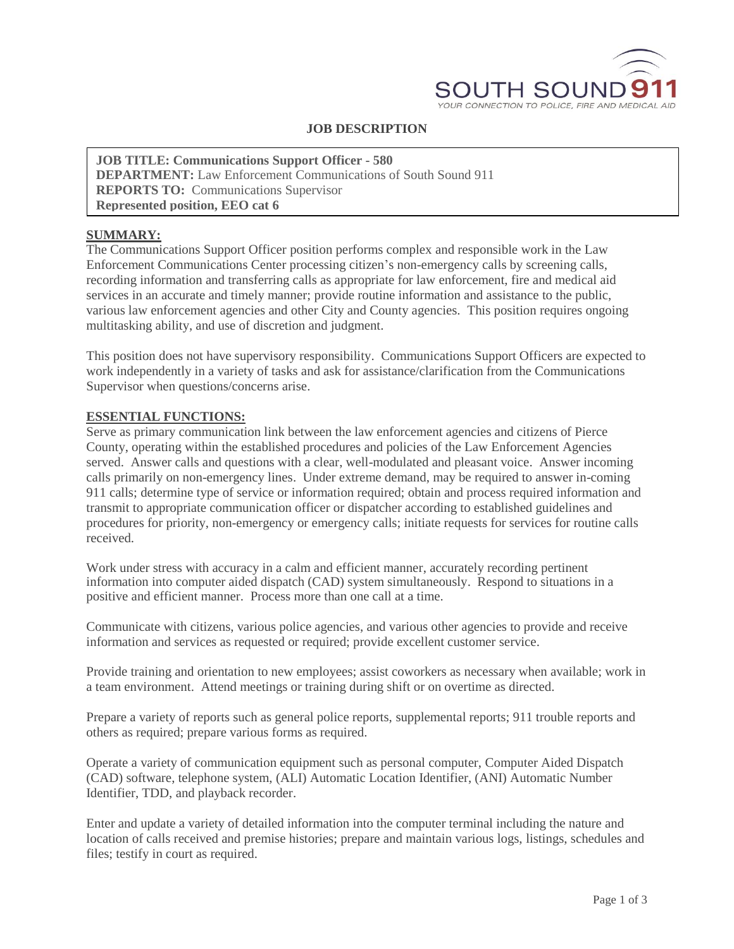

# **JOB DESCRIPTION**

**JOB TITLE: Communications Support Officer - 580 DEPARTMENT:** Law Enforcement Communications of South Sound 911 **REPORTS TO:** Communications Supervisor **Represented position, EEO cat 6**

#### **SUMMARY:**

The Communications Support Officer position performs complex and responsible work in the Law Enforcement Communications Center processing citizen's non-emergency calls by screening calls, recording information and transferring calls as appropriate for law enforcement, fire and medical aid services in an accurate and timely manner; provide routine information and assistance to the public, various law enforcement agencies and other City and County agencies. This position requires ongoing multitasking ability, and use of discretion and judgment.

This position does not have supervisory responsibility. Communications Support Officers are expected to work independently in a variety of tasks and ask for assistance/clarification from the Communications Supervisor when questions/concerns arise.

#### **ESSENTIAL FUNCTIONS:**

Serve as primary communication link between the law enforcement agencies and citizens of Pierce County, operating within the established procedures and policies of the Law Enforcement Agencies served. Answer calls and questions with a clear, well-modulated and pleasant voice. Answer incoming calls primarily on non-emergency lines. Under extreme demand, may be required to answer in-coming 911 calls; determine type of service or information required; obtain and process required information and transmit to appropriate communication officer or dispatcher according to established guidelines and procedures for priority, non-emergency or emergency calls; initiate requests for services for routine calls received.

Work under stress with accuracy in a calm and efficient manner, accurately recording pertinent information into computer aided dispatch (CAD) system simultaneously. Respond to situations in a positive and efficient manner. Process more than one call at a time.

Communicate with citizens, various police agencies, and various other agencies to provide and receive information and services as requested or required; provide excellent customer service.

Provide training and orientation to new employees; assist coworkers as necessary when available; work in a team environment. Attend meetings or training during shift or on overtime as directed.

Prepare a variety of reports such as general police reports, supplemental reports; 911 trouble reports and others as required; prepare various forms as required.

Operate a variety of communication equipment such as personal computer, Computer Aided Dispatch (CAD) software, telephone system, (ALI) Automatic Location Identifier, (ANI) Automatic Number Identifier, TDD, and playback recorder.

Enter and update a variety of detailed information into the computer terminal including the nature and location of calls received and premise histories; prepare and maintain various logs, listings, schedules and files; testify in court as required.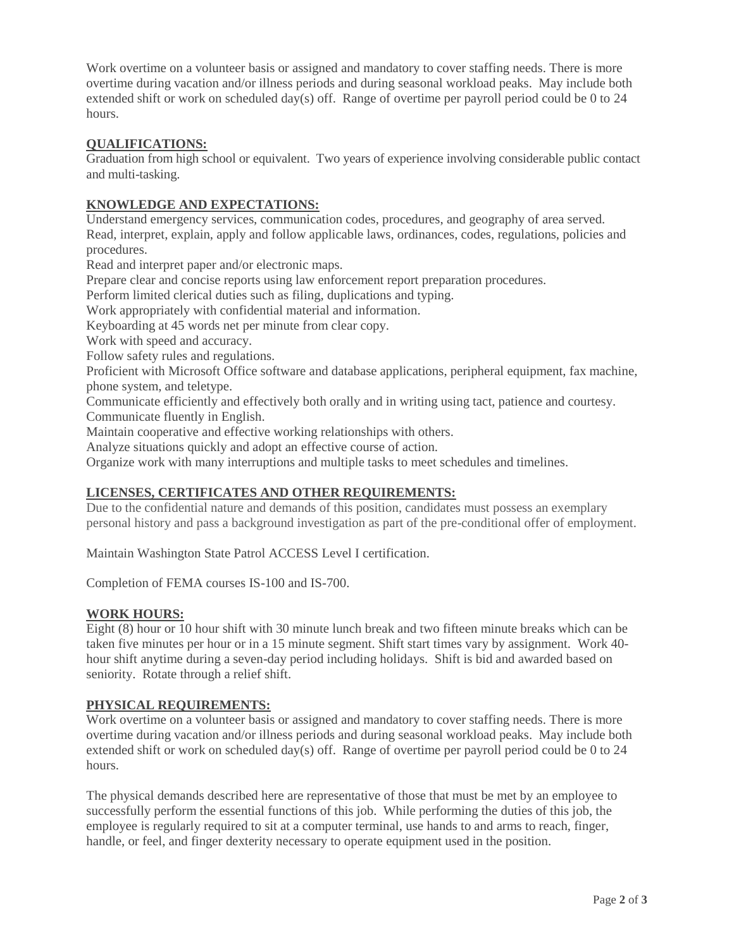Work overtime on a volunteer basis or assigned and mandatory to cover staffing needs. There is more overtime during vacation and/or illness periods and during seasonal workload peaks. May include both extended shift or work on scheduled day(s) off. Range of overtime per payroll period could be 0 to 24 hours.

# **QUALIFICATIONS:**

Graduation from high school or equivalent. Two years of experience involving considerable public contact and multi-tasking.

# **KNOWLEDGE AND EXPECTATIONS:**

Understand emergency services, communication codes, procedures, and geography of area served. Read, interpret, explain, apply and follow applicable laws, ordinances, codes, regulations, policies and procedures.

Read and interpret paper and/or electronic maps.

Prepare clear and concise reports using law enforcement report preparation procedures.

Perform limited clerical duties such as filing, duplications and typing.

Work appropriately with confidential material and information.

Keyboarding at 45 words net per minute from clear copy.

Work with speed and accuracy.

Follow safety rules and regulations.

Proficient with Microsoft Office software and database applications, peripheral equipment, fax machine, phone system, and teletype.

Communicate efficiently and effectively both orally and in writing using tact, patience and courtesy. Communicate fluently in English.

Maintain cooperative and effective working relationships with others.

Analyze situations quickly and adopt an effective course of action.

Organize work with many interruptions and multiple tasks to meet schedules and timelines.

### **LICENSES, CERTIFICATES AND OTHER REQUIREMENTS:**

Due to the confidential nature and demands of this position, candidates must possess an exemplary personal history and pass a background investigation as part of the pre-conditional offer of employment.

Maintain Washington State Patrol ACCESS Level I certification.

Completion of FEMA courses IS-100 and IS-700.

### **WORK HOURS:**

Eight (8) hour or 10 hour shift with 30 minute lunch break and two fifteen minute breaks which can be taken five minutes per hour or in a 15 minute segment. Shift start times vary by assignment. Work 40 hour shift anytime during a seven-day period including holidays. Shift is bid and awarded based on seniority. Rotate through a relief shift.

### **PHYSICAL REQUIREMENTS:**

Work overtime on a volunteer basis or assigned and mandatory to cover staffing needs. There is more overtime during vacation and/or illness periods and during seasonal workload peaks. May include both extended shift or work on scheduled day(s) off. Range of overtime per payroll period could be 0 to 24 hours.

The physical demands described here are representative of those that must be met by an employee to successfully perform the essential functions of this job. While performing the duties of this job, the employee is regularly required to sit at a computer terminal, use hands to and arms to reach, finger, handle, or feel, and finger dexterity necessary to operate equipment used in the position.